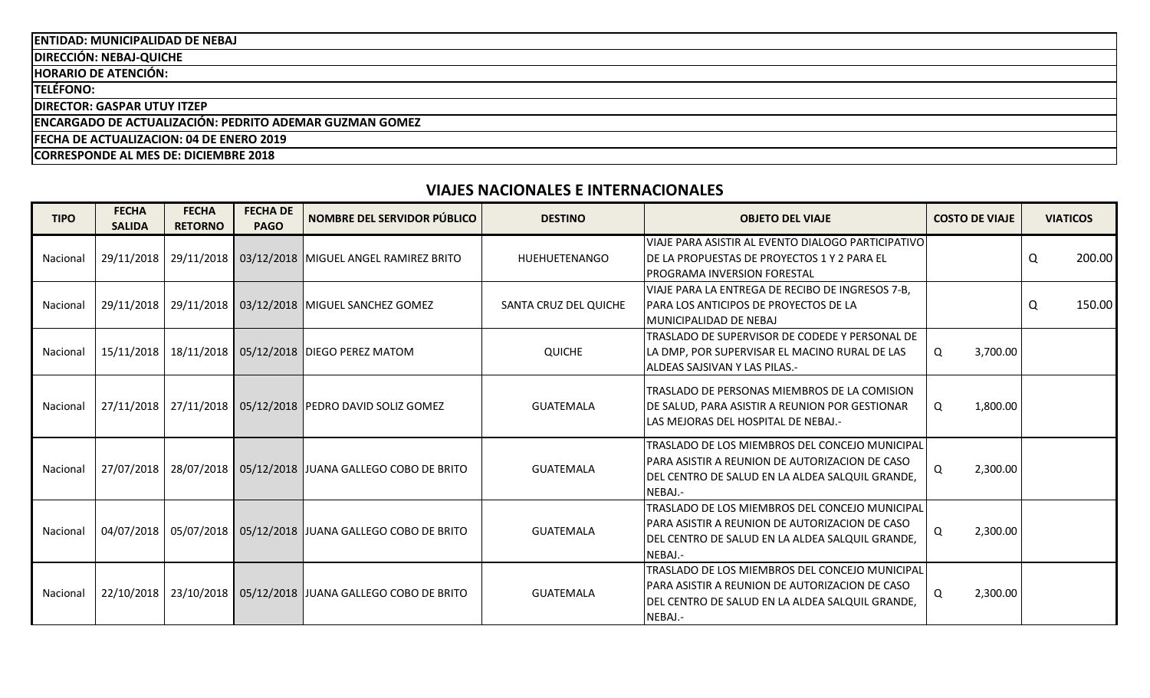| <b>ENTIDAD: MUNICIPALIDAD DE NEBAJ</b>                         |
|----------------------------------------------------------------|
| DIRECCIÓN: NEBAJ-QUICHE                                        |
| <b>HORARIO DE ATENCIÓN:</b>                                    |
| <b>TELÉFONO:</b>                                               |
| <b>DIRECTOR: GASPAR UTUY ITZEP</b>                             |
| <b>ENCARGADO DE ACTUALIZACIÓN: PEDRITO ADEMAR GUZMAN GOMEZ</b> |
| <b>FECHA DE ACTUALIZACION: 04 DE ENERO 2019</b>                |
| CORRESPONDE AL MES DE: DICIEMBRE 2018                          |

## **VIAJES NACIONALES E INTERNACIONALES**

| <b>TIPO</b> | <b>FECHA</b><br><b>SALIDA</b> | <b>FECHA</b><br><b>RETORNO</b> | <b>FECHA DE</b><br><b>PAGO</b> | NOMBRE DEL SERVIDOR PÚBLICO                                       | <b>DESTINO</b>        | <b>OBJETO DEL VIAJE</b>                                                                                                                                        | <b>COSTO DE VIAJE</b> |   | <b>VIATICOS</b> |
|-------------|-------------------------------|--------------------------------|--------------------------------|-------------------------------------------------------------------|-----------------------|----------------------------------------------------------------------------------------------------------------------------------------------------------------|-----------------------|---|-----------------|
| Nacional    | 29/11/2018                    |                                |                                | 29/11/2018   03/12/2018   MIGUEL ANGEL RAMIREZ BRITO              | <b>HUEHUETENANGO</b>  | VIAJE PARA ASISTIR AL EVENTO DIALOGO PARTICIPATIVO<br>DE LA PROPUESTAS DE PROYECTOS 1 Y 2 PARA EL<br>IPROGRAMA INVERSION FORESTAL                              |                       | Q | 200.00          |
| Nacional    | 29/11/2018                    |                                |                                | 29/11/2018   03/12/2018   MIGUEL SANCHEZ GOMEZ                    | SANTA CRUZ DEL QUICHE | VIAJE PARA LA ENTREGA DE RECIBO DE INGRESOS 7-B,<br>IPARA LOS ANTICIPOS DE PROYECTOS DE LA<br>MUNICIPALIDAD DE NEBAJ                                           |                       | Q | 150.00          |
| Nacional    | 15/11/2018                    |                                |                                | 18/11/2018   05/12/2018   DIEGO PEREZ MATOM                       | <b>QUICHE</b>         | TRASLADO DE SUPERVISOR DE CODEDE Y PERSONAL DE<br>LA DMP, POR SUPERVISAR EL MACINO RURAL DE LAS<br>ALDEAS SAJSIVAN Y LAS PILAS.-                               | Q<br>3,700.00         |   |                 |
| Nacional    |                               |                                |                                | 27/11/2018   27/11/2018   05/12/2018   PEDRO DAVID SOLIZ GOMEZ    | <b>GUATEMALA</b>      | TRASLADO DE PERSONAS MIEMBROS DE LA COMISION<br>DE SALUD, PARA ASISTIR A REUNION POR GESTIONAR<br>LAS MEJORAS DEL HOSPITAL DE NEBAJ.-                          | 1,800.00<br>Q         |   |                 |
| Nacional    | 27/07/2018                    |                                |                                | 28/07/2018   05/12/2018 JJUANA GALLEGO COBO DE BRITO              | <b>GUATEMALA</b>      | TRASLADO DE LOS MIEMBROS DEL CONCEJO MUNICIPAL<br>PARA ASISTIR A REUNION DE AUTORIZACION DE CASO<br>DEL CENTRO DE SALUD EN LA ALDEA SALQUIL GRANDE,<br>NEBAJ.- | Q<br>2,300.00         |   |                 |
| Nacional    |                               |                                |                                | 04/07/2018   05/07/2018   05/12/2018  JUANA GALLEGO COBO DE BRITO | <b>GUATEMALA</b>      | TRASLADO DE LOS MIEMBROS DEL CONCEJO MUNICIPAL<br>PARA ASISTIR A REUNION DE AUTORIZACION DE CASO<br>DEL CENTRO DE SALUD EN LA ALDEA SALQUIL GRANDE,<br>NEBAJ.- | Q<br>2,300.00         |   |                 |
| Nacional    | 22/10/2018                    |                                |                                | 23/10/2018   05/12/2018   JUANA GALLEGO COBO DE BRITO             | <b>GUATEMALA</b>      | TRASLADO DE LOS MIEMBROS DEL CONCEJO MUNICIPAL<br>PARA ASISTIR A REUNION DE AUTORIZACION DE CASO<br>DEL CENTRO DE SALUD EN LA ALDEA SALQUIL GRANDE,<br>NEBAJ.- | Q<br>2,300.00         |   |                 |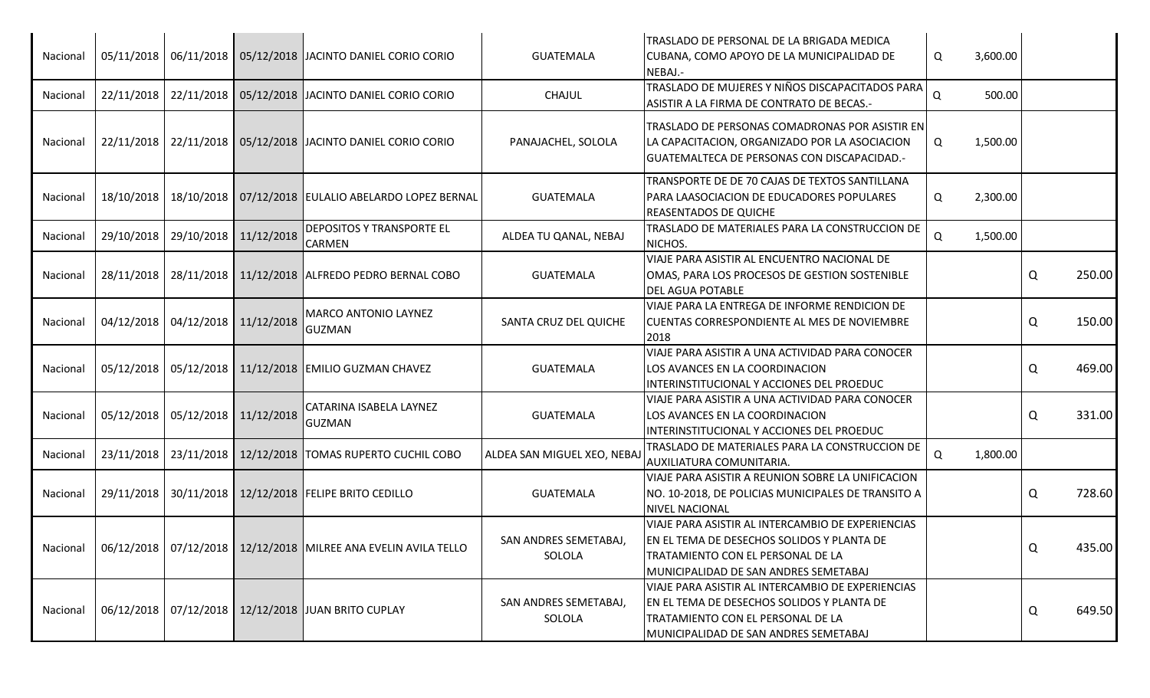| Nacional |            |                                      | 05/11/2018   06/11/2018   05/12/2018   JACINTO DANIEL CORIO CORIO    | <b>GUATEMALA</b>                | TRASLADO DE PERSONAL DE LA BRIGADA MEDICA<br>CUBANA, COMO APOYO DE LA MUNICIPALIDAD DE<br>NEBAJ.-                                                                                    | Q | 3,600.00 |   |        |
|----------|------------|--------------------------------------|----------------------------------------------------------------------|---------------------------------|--------------------------------------------------------------------------------------------------------------------------------------------------------------------------------------|---|----------|---|--------|
| Nacional |            |                                      | 22/11/2018   22/11/2018   05/12/2018   JACINTO DANIEL CORIO CORIO    | CHAJUL                          | TRASLADO DE MUJERES Y NIÑOS DISCAPACITADOS PARA<br>ASISTIR A LA FIRMA DE CONTRATO DE BECAS.-                                                                                         | Q | 500.00   |   |        |
| Nacional |            |                                      | 22/11/2018   22/11/2018   05/12/2018   JACINTO DANIEL CORIO CORIO    | PANAJACHEL, SOLOLA              | TRASLADO DE PERSONAS COMADRONAS POR ASISTIR EN<br>LA CAPACITACION, ORGANIZADO POR LA ASOCIACION<br>GUATEMALTECA DE PERSONAS CON DISCAPACIDAD.-                                       | Q | 1,500.00 |   |        |
| Nacional | 18/10/2018 |                                      | 18/10/2018   07/12/2018   EULALIO ABELARDO LOPEZ BERNAL              | <b>GUATEMALA</b>                | TRANSPORTE DE DE 70 CAJAS DE TEXTOS SANTILLANA<br>PARA LAASOCIACION DE EDUCADORES POPULARES<br><b>REASENTADOS DE QUICHE</b>                                                          | Q | 2,300.00 |   |        |
| Nacional |            | 29/10/2018   29/10/2018   11/12/2018 | <b>DEPOSITOS Y TRANSPORTE EL</b><br><b>CARMEN</b>                    | ALDEA TU QANAL, NEBAJ           | TRASLADO DE MATERIALES PARA LA CONSTRUCCION DE<br>NICHOS.                                                                                                                            | Q | 1,500.00 |   |        |
| Nacional |            |                                      | 28/11/2018   28/11/2018   11/12/2018   ALFREDO PEDRO BERNAL COBO     | <b>GUATEMALA</b>                | VIAJE PARA ASISTIR AL ENCUENTRO NACIONAL DE<br>OMAS, PARA LOS PROCESOS DE GESTION SOSTENIBLE<br><b>DEL AGUA POTABLE</b>                                                              |   |          | Q | 250.00 |
| Nacional |            | 04/12/2018 04/12/2018 11/12/2018     | MARCO ANTONIO LAYNEZ<br><b>GUZMAN</b>                                | SANTA CRUZ DEL QUICHE           | VIAJE PARA LA ENTREGA DE INFORME RENDICION DE<br><b>CUENTAS CORRESPONDIENTE AL MES DE NOVIEMBRE</b><br>2018                                                                          |   |          | Q | 150.00 |
| Nacional |            |                                      | 05/12/2018   05/12/2018   11/12/2018   EMILIO GUZMAN CHAVEZ          | <b>GUATEMALA</b>                | VIAJE PARA ASISTIR A UNA ACTIVIDAD PARA CONOCER<br>LOS AVANCES EN LA COORDINACION<br>INTERINSTITUCIONAL Y ACCIONES DEL PROEDUC                                                       |   |          | Q | 469.00 |
| Nacional |            | 05/12/2018 05/12/2018 11/12/2018     | CATARINA ISABELA LAYNEZ<br><b>GUZMAN</b>                             | <b>GUATEMALA</b>                | VIAJE PARA ASISTIR A UNA ACTIVIDAD PARA CONOCER<br>LOS AVANCES EN LA COORDINACION<br>INTERINSTITUCIONAL Y ACCIONES DEL PROEDUC                                                       |   |          | Q | 331.00 |
| Nacional |            |                                      | 23/11/2018   23/11/2018   12/12/2018   TOMAS RUPERTO CUCHIL COBO     | ALDEA SAN MIGUEL XEO, NEBAJ     | TRASLADO DE MATERIALES PARA LA CONSTRUCCION DE<br>AUXILIATURA COMUNITARIA.                                                                                                           | Q | 1,800.00 |   |        |
| Nacional |            |                                      | 29/11/2018 30/11/2018 12/12/2018 FELIPE BRITO CEDILLO                | <b>GUATEMALA</b>                | VIAJE PARA ASISTIR A REUNION SOBRE LA UNIFICACION<br>NO. 10-2018, DE POLICIAS MUNICIPALES DE TRANSITO A<br><b>NIVEL NACIONAL</b>                                                     |   |          | Q | 728.60 |
| Nacional |            |                                      | 06/12/2018   07/12/2018   12/12/2018   MILREE ANA EVELIN AVILA TELLO | SAN ANDRES SEMETABAJ,<br>SOLOLA | VIAJE PARA ASISTIR AL INTERCAMBIO DE EXPERIENCIAS<br>EN EL TEMA DE DESECHOS SOLIDOS Y PLANTA DE<br>TRATAMIENTO CON EL PERSONAL DE LA<br>MUNICIPALIDAD DE SAN ANDRES SEMETABAJ        |   |          | Q | 435.00 |
| Nacional |            |                                      | 06/12/2018   07/12/2018   12/12/2018   JUAN BRITO CUPLAY             | SAN ANDRES SEMETABAJ,<br>SOLOLA | VIAJE PARA ASISTIR AL INTERCAMBIO DE EXPERIENCIAS<br>EN EL TEMA DE DESECHOS SOLIDOS Y PLANTA DE<br><b>TRATAMIENTO CON EL PERSONAL DE LA</b><br>MUNICIPALIDAD DE SAN ANDRES SEMETABAJ |   |          | Q | 649.50 |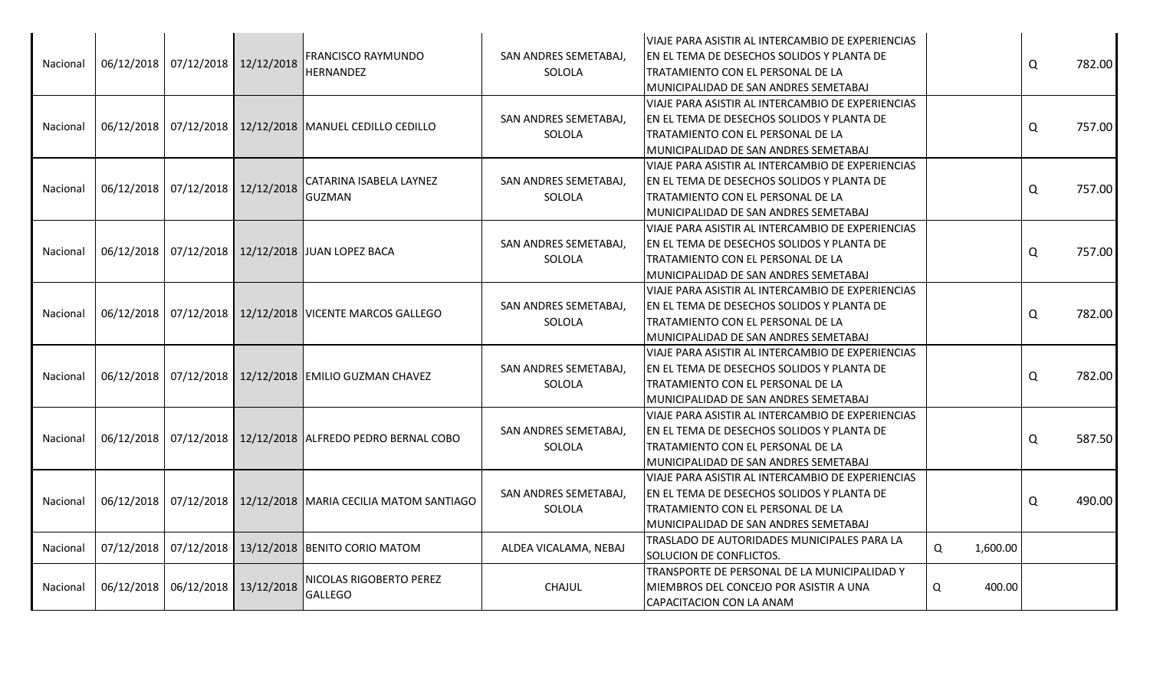| Nacional | 06/12/2018 07/12/2018 12/12/2018 | <b>FRANCISCO RAYMUNDO</b><br><b>HERNANDEZ</b>                       | SAN ANDRES SEMETABAJ,<br>SOLOLA | VIAJE PARA ASISTIR AL INTERCAMBIO DE EXPERIENCIAS<br>EN EL TEMA DE DESECHOS SOLIDOS Y PLANTA DE<br>TRATAMIENTO CON EL PERSONAL DE LA<br>MUNICIPALIDAD DE SAN ANDRES SEMETABAJ  |   |          | Q | 782.00 |
|----------|----------------------------------|---------------------------------------------------------------------|---------------------------------|--------------------------------------------------------------------------------------------------------------------------------------------------------------------------------|---|----------|---|--------|
| Nacional |                                  | 06/12/2018   07/12/2018   12/12/2018   MANUEL CEDILLO CEDILLO       | SAN ANDRES SEMETABAJ,<br>SOLOLA | VIAJE PARA ASISTIR AL INTERCAMBIO DE EXPERIENCIAS<br>EN EL TEMA DE DESECHOS SOLIDOS Y PLANTA DE<br>TRATAMIENTO CON EL PERSONAL DE LA<br>MUNICIPALIDAD DE SAN ANDRES SEMETABAJ  |   |          | Q | 757.00 |
| Nacional | 06/12/2018 07/12/2018 12/12/2018 | CATARINA ISABELA LAYNEZ<br><b>GUZMAN</b>                            | SAN ANDRES SEMETABAJ,<br>SOLOLA | VIAJE PARA ASISTIR AL INTERCAMBIO DE EXPERIENCIAS<br>IEN EL TEMA DE DESECHOS SOLIDOS Y PLANTA DE<br>TRATAMIENTO CON EL PERSONAL DE LA<br>MUNICIPALIDAD DE SAN ANDRES SEMETABAJ |   |          | Q | 757.00 |
| Nacional |                                  | 06/12/2018   07/12/2018   12/12/2018   JUAN LOPEZ BACA              | SAN ANDRES SEMETABAJ,<br>SOLOLA | VIAJE PARA ASISTIR AL INTERCAMBIO DE EXPERIENCIAS<br>EN EL TEMA DE DESECHOS SOLIDOS Y PLANTA DE<br>TRATAMIENTO CON EL PERSONAL DE LA<br>MUNICIPALIDAD DE SAN ANDRES SEMETABAJ  |   |          | Q | 757.00 |
| Nacional |                                  | 06/12/2018   07/12/2018   12/12/2018   VICENTE MARCOS GALLEGO       | SAN ANDRES SEMETABAJ,<br>SOLOLA | VIAJE PARA ASISTIR AL INTERCAMBIO DE EXPERIENCIAS<br>EN EL TEMA DE DESECHOS SOLIDOS Y PLANTA DE<br>TRATAMIENTO CON EL PERSONAL DE LA<br>MUNICIPALIDAD DE SAN ANDRES SEMETABAJ  |   |          | Q | 782.00 |
| Nacional |                                  | 06/12/2018   07/12/2018   12/12/2018   EMILIO GUZMAN CHAVEZ         | SAN ANDRES SEMETABAJ,<br>SOLOLA | VIAJE PARA ASISTIR AL INTERCAMBIO DE EXPERIENCIAS<br>EN EL TEMA DE DESECHOS SOLIDOS Y PLANTA DE<br>TRATAMIENTO CON EL PERSONAL DE LA<br>MUNICIPALIDAD DE SAN ANDRES SEMETABAJ  |   |          | Q | 782.00 |
| Nacional |                                  | 06/12/2018 07/12/2018 12/12/2018 ALFREDO PEDRO BERNAL COBO          | SAN ANDRES SEMETABAJ,<br>SOLOLA | VIAJE PARA ASISTIR AL INTERCAMBIO DE EXPERIENCIAS<br>EN EL TEMA DE DESECHOS SOLIDOS Y PLANTA DE<br>TRATAMIENTO CON EL PERSONAL DE LA<br>MUNICIPALIDAD DE SAN ANDRES SEMETABAJ  |   |          | Q | 587.50 |
| Nacional |                                  | 06/12/2018   07/12/2018   12/12/2018   MARIA CECILIA MATOM SANTIAGO | SAN ANDRES SEMETABAJ,<br>SOLOLA | VIAJE PARA ASISTIR AL INTERCAMBIO DE EXPERIENCIAS<br>EN EL TEMA DE DESECHOS SOLIDOS Y PLANTA DE<br>TRATAMIENTO CON EL PERSONAL DE LA<br>MUNICIPALIDAD DE SAN ANDRES SEMETABAJ  |   |          | Q | 490.00 |
| Nacional |                                  | 07/12/2018   07/12/2018   13/12/2018   BENITO CORIO MATOM           | ALDEA VICALAMA, NEBAJ           | TRASLADO DE AUTORIDADES MUNICIPALES PARA LA<br>SOLUCION DE CONFLICTOS.                                                                                                         | Q | 1,600.00 |   |        |
| Nacional | 06/12/2018 06/12/2018 13/12/2018 | NICOLAS RIGOBERTO PEREZ<br><b>GALLEGO</b>                           | CHAJUL                          | TRANSPORTE DE PERSONAL DE LA MUNICIPALIDAD Y<br>MIEMBROS DEL CONCEJO POR ASISTIR A UNA<br>CAPACITACION CON LA ANAM                                                             | Q | 400.00   |   |        |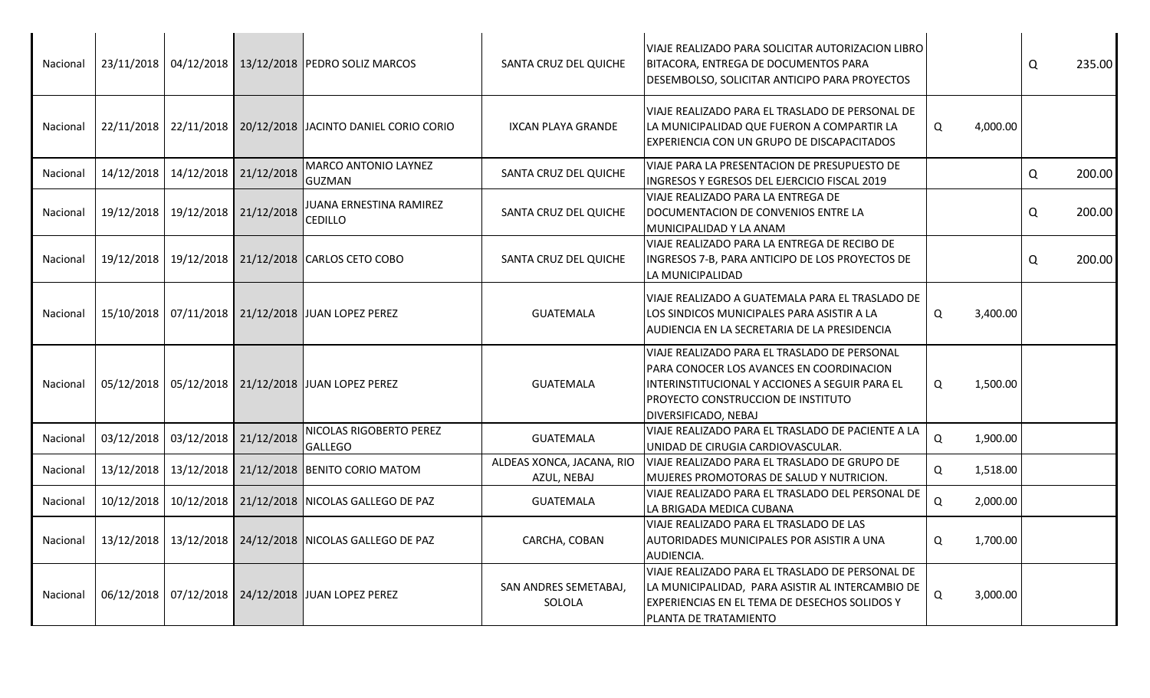| Nacional |            |                                  | 23/11/2018   04/12/2018   13/12/2018   PEDRO SOLIZ MARCOS         | SANTA CRUZ DEL QUICHE                    | VIAJE REALIZADO PARA SOLICITAR AUTORIZACION LIBRO<br>BITACORA, ENTREGA DE DOCUMENTOS PARA<br>DESEMBOLSO, SOLICITAR ANTICIPO PARA PROYECTOS                                                                      |               | Q | 235.00 |
|----------|------------|----------------------------------|-------------------------------------------------------------------|------------------------------------------|-----------------------------------------------------------------------------------------------------------------------------------------------------------------------------------------------------------------|---------------|---|--------|
| Nacional |            |                                  | 22/11/2018   22/11/2018   20/12/2018   JACINTO DANIEL CORIO CORIO | IXCAN PLAYA GRANDE                       | VIAJE REALIZADO PARA EL TRASLADO DE PERSONAL DE<br>LA MUNICIPALIDAD QUE FUERON A COMPARTIR LA<br>EXPERIENCIA CON UN GRUPO DE DISCAPACITADOS                                                                     | Q<br>4,000.00 |   |        |
| Nacional |            | 14/12/2018 14/12/2018 21/12/2018 | MARCO ANTONIO LAYNEZ<br><b>GUZMAN</b>                             | SANTA CRUZ DEL QUICHE                    | VIAJE PARA LA PRESENTACION DE PRESUPUESTO DE<br>INGRESOS Y EGRESOS DEL EJERCICIO FISCAL 2019                                                                                                                    |               | Q | 200.00 |
| Nacional |            | 19/12/2018 19/12/2018 21/12/2018 | JUANA ERNESTINA RAMIREZ<br><b>CEDILLO</b>                         | SANTA CRUZ DEL QUICHE                    | <b>VIAJE REALIZADO PARA LA ENTREGA DE</b><br>IDOCUMENTACION DE CONVENIOS ENTRE LA<br>MUNICIPALIDAD Y LA ANAM                                                                                                    |               | Q | 200.00 |
| Nacional |            |                                  | 19/12/2018   19/12/2018   21/12/2018   CARLOS CETO COBO           | SANTA CRUZ DEL QUICHE                    | VIAJE REALIZADO PARA LA ENTREGA DE RECIBO DE<br>INGRESOS 7-B, PARA ANTICIPO DE LOS PROYECTOS DE<br>LA MUNICIPALIDAD                                                                                             |               | Q | 200.00 |
| Nacional |            |                                  | 15/10/2018   07/11/2018   21/12/2018 JUAN LOPEZ PEREZ             | <b>GUATEMALA</b>                         | VIAJE REALIZADO A GUATEMALA PARA EL TRASLADO DE<br>LOS SINDICOS MUNICIPALES PARA ASISTIR A LA<br>AUDIENCIA EN LA SECRETARIA DE LA PRESIDENCIA                                                                   | Q<br>3,400.00 |   |        |
| Nacional |            |                                  | 05/12/2018 05/12/2018 21/12/2018 JUAN LOPEZ PEREZ                 | <b>GUATEMALA</b>                         | VIAJE REALIZADO PARA EL TRASLADO DE PERSONAL<br>PARA CONOCER LOS AVANCES EN COORDINACION<br>INTERINSTITUCIONAL Y ACCIONES A SEGUIR PARA EL<br>PROYECTO CONSTRUCCION DE INSTITUTO<br><b>DIVERSIFICADO, NEBAJ</b> | Q<br>1,500.00 |   |        |
| Nacional |            | 03/12/2018 03/12/2018 21/12/2018 | NICOLAS RIGOBERTO PEREZ<br><b>GALLEGO</b>                         | <b>GUATEMALA</b>                         | VIAJE REALIZADO PARA EL TRASLADO DE PACIENTE A LA<br>UNIDAD DE CIRUGIA CARDIOVASCULAR.                                                                                                                          | Q<br>1,900.00 |   |        |
| Nacional |            |                                  | 13/12/2018   13/12/2018   21/12/2018   BENITO CORIO MATOM         | ALDEAS XONCA, JACANA, RIO<br>AZUL, NEBAJ | VIAJE REALIZADO PARA EL TRASLADO DE GRUPO DE<br>MUJERES PROMOTORAS DE SALUD Y NUTRICION.                                                                                                                        | Q<br>1,518.00 |   |        |
| Nacional | 10/12/2018 |                                  | 10/12/2018   21/12/2018   NICOLAS GALLEGO DE PAZ                  | <b>GUATEMALA</b>                         | VIAJE REALIZADO PARA EL TRASLADO DEL PERSONAL DE<br>LA BRIGADA MEDICA CUBANA                                                                                                                                    | Q<br>2,000.00 |   |        |
| Nacional |            |                                  | 13/12/2018   13/12/2018   24/12/2018   NICOLAS GALLEGO DE PAZ     | CARCHA, COBAN                            | VIAJE REALIZADO PARA EL TRASLADO DE LAS<br><b>AUTORIDADES MUNICIPALES POR ASISTIR A UNA</b><br>AUDIENCIA.                                                                                                       | Q<br>1,700.00 |   |        |
| Nacional |            |                                  | 06/12/2018   07/12/2018   24/12/2018   JUAN LOPEZ PEREZ           | SAN ANDRES SEMETABAJ,<br>SOLOLA          | VIAJE REALIZADO PARA EL TRASLADO DE PERSONAL DE<br>LA MUNICIPALIDAD, PARA ASISTIR AL INTERCAMBIO DE<br>EXPERIENCIAS EN EL TEMA DE DESECHOS SOLIDOS Y<br>PLANTA DE TRATAMIENTO                                   | Q<br>3,000.00 |   |        |